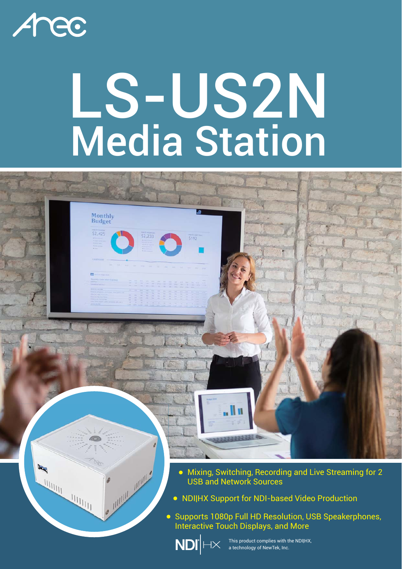

# LS-US2N Media Station

Monthly<br>Budget

 $52.42$ 

Mixing, Switching, Recording and Live Streaming for 2 USB and Network Sources

NDI|HX Support for NDI-based Video Production

**• Supports 1080p Full HD Resolution, USB Speakerphones,** Interactive Touch Displays, and More



This product complies with the NDI|HX, a technology of NewTek, Inc.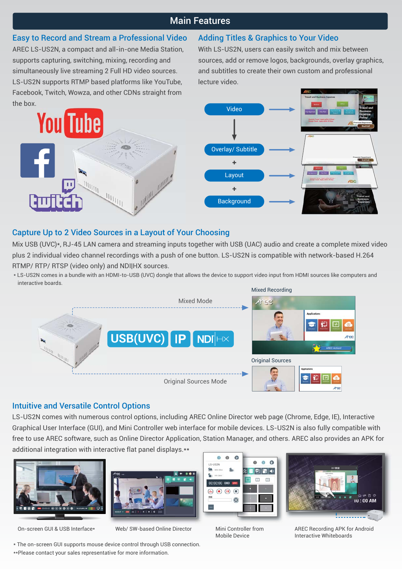## Main Features

# Easy to Record and Stream a Professional Video

AREC LS-US2N, a compact and all-in-one Media Station, supports capturing, switching, mixing, recording and simultaneously live streaming 2 Full HD video sources. LS-US2N supports RTMP based platforms like YouTube, Facebook, Twitch, Wowza, and other CDNs straight from the box.

### Adding Titles & Graphics to Your Video

With LS-US2N, users can easily switch and mix between sources, add or remove logos, backgrounds, overlay graphics, and subtitles to create their own custom and professional lecture video.



# Capture Up to 2 Video Sources in a Layout of Your Choosing

Mix USB (UVC)\*, RJ-45 LAN camera and streaming inputs together with USB (UAC) audio and create a complete mixed video plus 2 individual video channel recordings with a push of one button. LS-US2N is compatible with network-based H.264 RTMP/ RTP/ RTSP (video only) and NDI|HX sources.

\* LS-US2N comes in a bundle with an HDMI-to-USB (UVC) dongle that allows the device to support video input from HDMI sources like computers and interactive boards.



#### Intuitive and Versatile Control Options

LS-US2N comes with numerous control options, including AREC Online Director web page (Chrome, Edge, IE), Interactive Graphical User Interface (GUI), and Mini Controller web interface for mobile devices. LS-US2N is also fully compatible with free to use AREC software, such as Online Director Application, Station Manager, and others. AREC also provides an APK for additional integration with interactive flat panel displays.\*\*





On-screen GUI & USB Interface\* Web/ SW-based Online Director Mini Controller from



Mobile Device



AREC Recording APK for Android Interactive Whiteboards

\* The on-screen GUI supports mouse device control through USB connection. \*\*Please contact your sales representative for more information.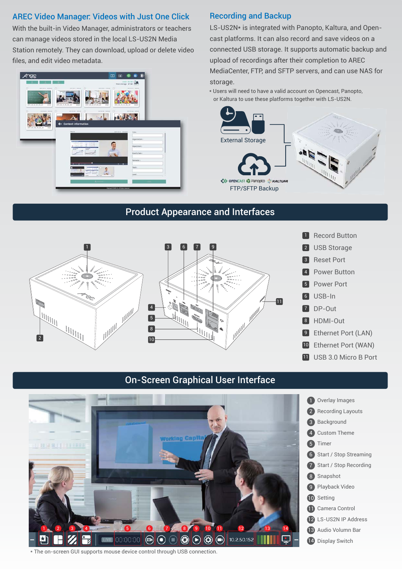#### AREC Video Manager: Videos with Just One Click

With the built-in Video Manager, administrators or teachers can manage videos stored in the local LS-US2N Media Station remotely. They can download, upload or delete video files, and edit video metadata.



#### Recording and Backup

LS-US2N\* is integrated with Panopto, Kaltura, and Opencast platforms. It can also record and save videos on a connected USB storage. It supports automatic backup and upload of recordings after their completion to AREC MediaCenter, FTP, and SFTP servers, and can use NAS for storage.

\* Users will need to have a valid account on Opencast, Panopto, or Kaltura to use these platforms together with LS-US2N.



## Product Appearance and Interfaces



# On-Screen Graphical User Interface



\* The on-screen GUI supports mouse device control through USB connection.